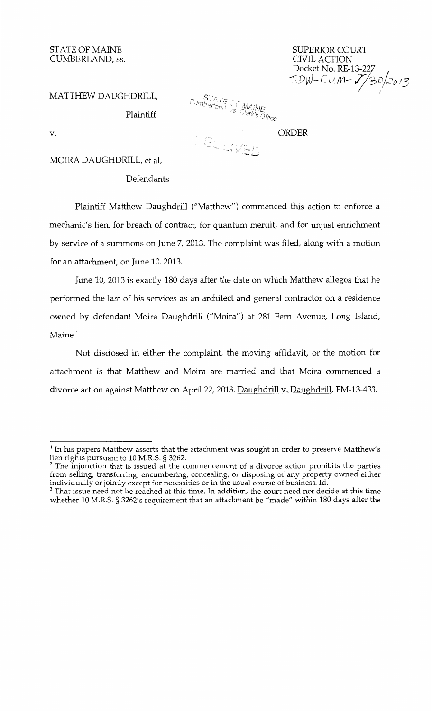STATE OF MAINE CUMBERLAND, ss.

SUPERIOR COURT CIVIL ACTION Docket No. RE-13-227 *-[J)vJ--* Cl{/Vl~ 7J3;)-1,, 13

MATTHEW DAUGHDRILL,

Plaintiff

 $\frac{STATE}{3s}$  of MAINE

PECHVED

ORDER

MOIRA DAUGHDRILL, et al,

Defendants

Plaintiff Matthew Daughdrill ("Matthew") commenced this action to enforce a mechanic's lien, for breach of contract, for quantum meruit, and for unjust enrichment by service of a summons on June 7, 2013. The complaint was filed, along with a motion for an attachment, on June 10, 2013.

June 10, 2013 is exactly 180 days after the date on which Matthew alleges that he performed the last of his services as an architect and general contractor on a residence owned by defendant Moira Daughdrill ("Moira") at 281 Fern Avenue, Long Island, Maine.<sup>1</sup>

Not disclosed in either the complaint, the moving affidavit, or the motion for attachment is that Matthew and Moira are married and that Moira commenced a divorce action against Matthew on April 22, 2013. Daughdrill v. Daughdrill, FM-13-433.

v.

 $<sup>1</sup>$  In his papers Matthew asserts that the attachment was sought in order to preserve Matthew's</sup> lien rights pursuant to 10 M.R.S. § 3262.<br><sup>2</sup> The injunction that is issued at the commencement of a divorce action prohibits the parties

from selling, transferring, encumbering, concealing, or disposing of any property owned either individually or jointly except for necessities or in the usual course of business. Id.

<sup>&</sup>lt;sup>3</sup> That issue need not be reached at this time. In addition, the court need not decide at this time whether 10 M.R.S. § 3262' s requirement that an attachment be "made" within 180 days after the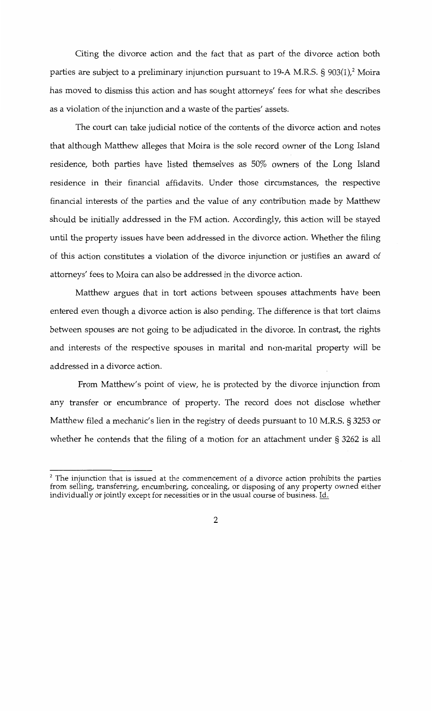Citing the divorce action and the fact that as part of the divorce action both parties are subject to a preliminary injunction pursuant to 19-A M.R.S. § 903(1),<sup>2</sup> Moira has moved to dismiss this action and has sought attorneys' fees for what she describes as a violation of the injunction and a waste of the parties' assets.

The court can take judicial notice of the contents of the divorce action and notes that although Matthew alleges that Moira is the sole record owner of the Long Island residence, both parties have listed themselves as 50% owners of the Long Island residence in their financial affidavits. Under those circumstances, the respective financial interests of the parties and the value of any contribution made by Matthew should be initially addressed in the FM action. Accordingly, this action will be stayed until the property issues have been addressed in the divorce action. Whether the filing of this action constitutes a violation of the divorce injunction or justifies an award of attorneys' fees to Moira can also be addressed in the divorce action.

Matthew argues that in tort actions between spouses attachments have been entered even though a divorce action is also pending. The difference is that tort claims between spouses are not going to be adjudicated in the divorce. In contrast, the rights and interests of the respective spouses in marital and non-marital property will be addressed in a divorce action.

From Matthew's point of view, he is protected by the divorce injunction from any transfer or encumbrance of property. The record does not disclose whether Matthew filed a mechanic's lien in the registry of deeds pursuant to 10 M.R.S. § 3253 or whether he contends that the filing of a motion for an attachment under § 3262 is all

 $2$  The injunction that is issued at the commencement of a divorce action prohibits the parties from selling, transferring, encumbering, concealing, or disposing of any property owned either individually or jointly except for necessities or in the usual course of business. Id.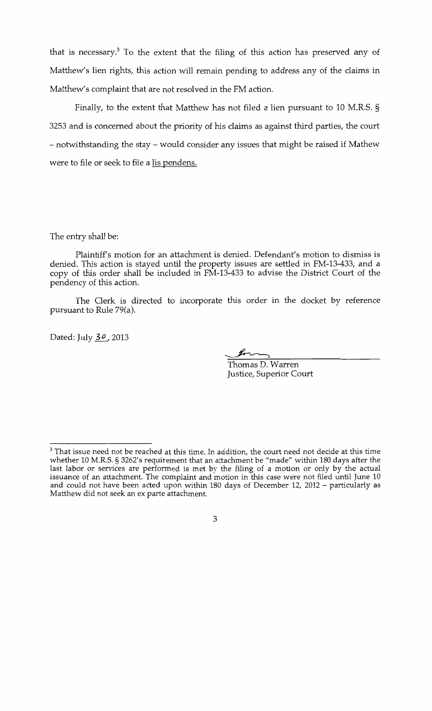that is necessary.3 To the extent that the filing of this action has preserved any of Matthew's lien rights, this action will remain pending to address any of the claims in Matthew's complaint that are not resolved in the FM action.

Finally, to the extent that Matthew has not filed a lien pursuant to 10 M.R.S. § 3253 and is concerned about the priority of his claims as against third parties, the court -notwithstanding the stay- would consider any issues that might be raised if Mathew were to file or seek to file a lis pendens.

The entry shall be:

Plaintiff's motion for an attachment is denied. Defendant's motion to dismiss is denied. This action is stayed until the property issues are settled in FM-13-433, and a copy of this order shall be included in FM-13-433 to advise the District Court of the pendency of this action.

The Clerk is directed to incorporate this order in the docket by reference pursuant to Rule 79(a).

Dated: July *3o,* 2013

Thomas D. Warren Justice, Superior Court

 $3$  That issue need not be reached at this time. In addition, the court need not decide at this time whether 10 M.R.S. § 3262's requirement that an attachment be "made" within 180 days after the last labor or services are performed is met by the filing of a motion or only by the actual issuance of an attachment. The complaint and motion in this case were not filed until June 10 and could not have been acted upon within 180 days of December 12, 2012 - particularly as Matthew did not seek an ex parte attachment.